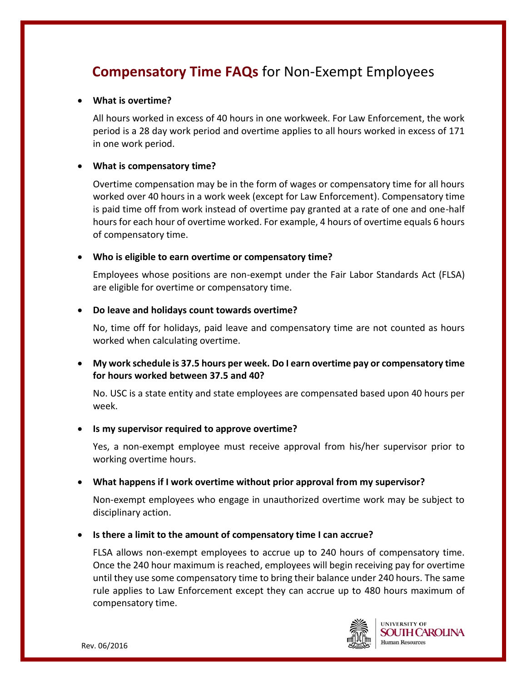# **Compensatory Time FAQs** for Non-Exempt Employees

#### **What is overtime?**

All hours worked in excess of 40 hours in one workweek. For Law Enforcement, the work period is a 28 day work period and overtime applies to all hours worked in excess of 171 in one work period.

#### **What is compensatory time?**

Overtime compensation may be in the form of wages or compensatory time for all hours worked over 40 hours in a work week (except for Law Enforcement). Compensatory time is paid time off from work instead of overtime pay granted at a rate of one and one-half hours for each hour of overtime worked. For example, 4 hours of overtime equals 6 hours of compensatory time.

#### **Who is eligible to earn overtime or compensatory time?**

Employees whose positions are non-exempt under the Fair Labor Standards Act (FLSA) are eligible for overtime or compensatory time.

#### **Do leave and holidays count towards overtime?**

No, time off for holidays, paid leave and compensatory time are not counted as hours worked when calculating overtime.

 **My work schedule is 37.5 hours per week. Do I earn overtime pay or compensatory time for hours worked between 37.5 and 40?**

No. USC is a state entity and state employees are compensated based upon 40 hours per week.

#### **Is my supervisor required to approve overtime?**

Yes, a non-exempt employee must receive approval from his/her supervisor prior to working overtime hours.

## **What happens if I work overtime without prior approval from my supervisor?**

Non-exempt employees who engage in unauthorized overtime work may be subject to disciplinary action.

## **Is there a limit to the amount of compensatory time I can accrue?**

FLSA allows non-exempt employees to accrue up to 240 hours of compensatory time. Once the 240 hour maximum is reached, employees will begin receiving pay for overtime until they use some compensatory time to bring their balance under 240 hours. The same rule applies to Law Enforcement except they can accrue up to 480 hours maximum of compensatory time.